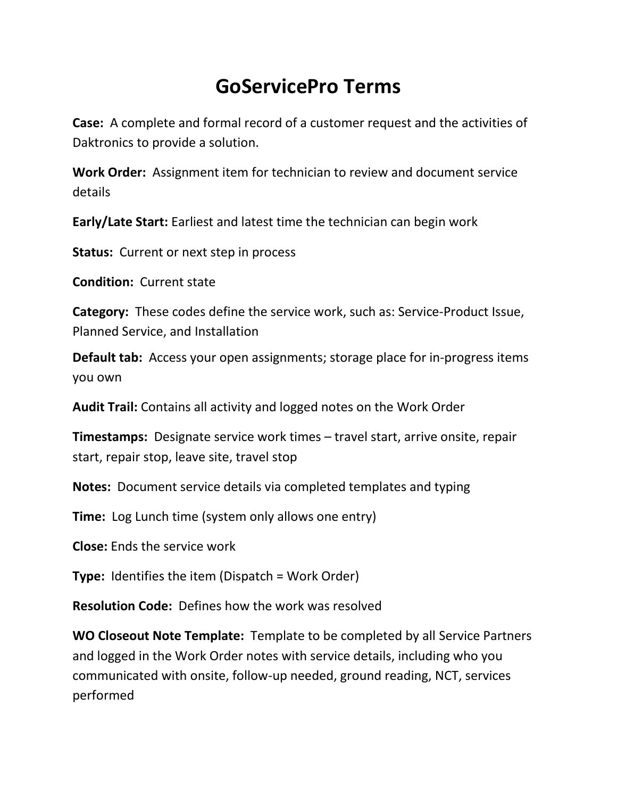## **GoServicePro Terms**

**Case:** A complete and formal record of a customer request and the activities of Daktronics to provide a solution.

**Work Order:** Assignment item for technician to review and document service details

**Early/Late Start:** Earliest and latest time the technician can begin work

**Status:** Current or next step in process

**Condition:** Current state

**Category:** These codes define the service work, such as: Service-Product Issue, Planned Service, and Installation

**Default tab:** Access your open assignments; storage place for in-progress items you own

**Audit Trail:** Contains all activity and logged notes on the Work Order

**Timestamps:** Designate service work times – travel start, arrive onsite, repair start, repair stop, leave site, travel stop

**Notes:** Document service details via completed templates and typing

**Time:** Log Lunch time (system only allows one entry)

**Close:** Ends the service work

**Type:** Identifies the item (Dispatch = Work Order)

**Resolution Code:** Defines how the work was resolved

**WO Closeout Note Template:** Template to be completed by all Service Partners and logged in the Work Order notes with service details, including who you communicated with onsite, follow-up needed, ground reading, NCT, services performed